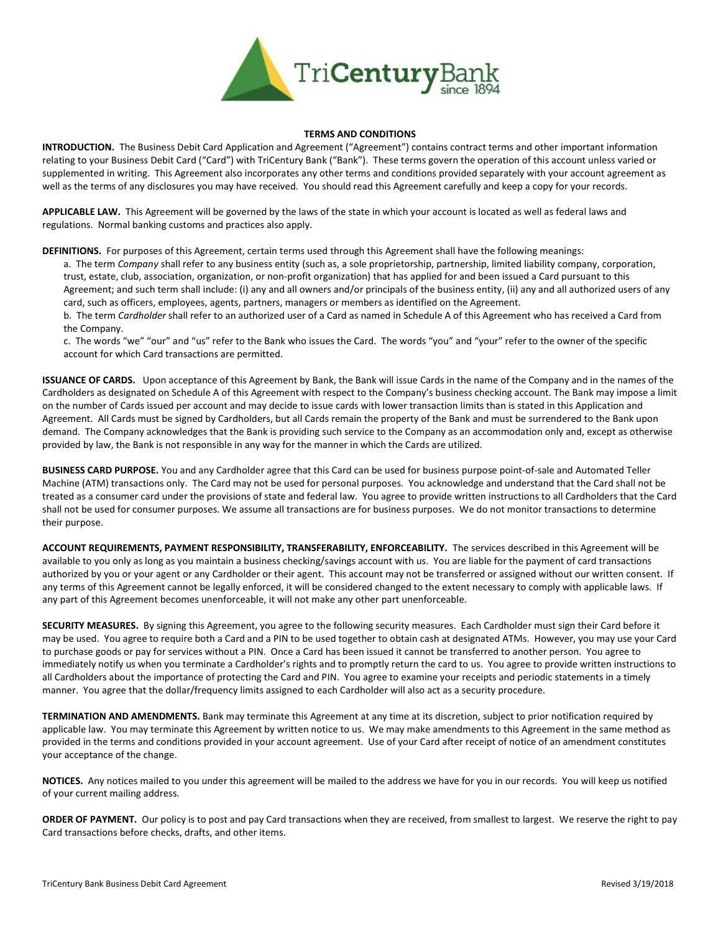

## TERMS AND CONDITIONS

INTRODUCTION. The Business Debit Card Application and Agreement ("Agreement") contains contract terms and other important information relating to your Business Debit Card ("Card") with TriCentury Bank ("Bank"). These terms govern the operation of this account unless varied or supplemented in writing. This Agreement also incorporates any other terms and conditions provided separately with your account agreement as well as the terms of any disclosures you may have received. You should read this Agreement carefully and keep a copy for your records.

APPLICABLE LAW. This Agreement will be governed by the laws of the state in which your account is located as well as federal laws and regulations. Normal banking customs and practices also apply.

DEFINITIONS. For purposes of this Agreement, certain terms used through this Agreement shall have the following meanings:

a. The term Company shall refer to any business entity (such as, a sole proprietorship, partnership, limited liability company, corporation, trust, estate, club, association, organization, or non-profit organization) that has applied for and been issued a Card pursuant to this Agreement; and such term shall include: (i) any and all owners and/or principals of the business entity, (ii) any and all authorized users of any card, such as officers, employees, agents, partners, managers or members as identified on the Agreement.

b. The term Cardholder shall refer to an authorized user of a Card as named in Schedule A of this Agreement who has received a Card from the Company.

c. The words "we" "our" and "us" refer to the Bank who issues the Card. The words "you" and "your" refer to the owner of the specific account for which Card transactions are permitted.

ISSUANCE OF CARDS. Upon acceptance of this Agreement by Bank, the Bank will issue Cards in the name of the Company and in the names of the Cardholders as designated on Schedule A of this Agreement with respect to the Company's business checking account. The Bank may impose a limit on the number of Cards issued per account and may decide to issue cards with lower transaction limits than is stated in this Application and Agreement. All Cards must be signed by Cardholders, but all Cards remain the property of the Bank and must be surrendered to the Bank upon demand. The Company acknowledges that the Bank is providing such service to the Company as an accommodation only and, except as otherwise provided by law, the Bank is not responsible in any way for the manner in which the Cards are utilized.

BUSINESS CARD PURPOSE. You and any Cardholder agree that this Card can be used for business purpose point-of-sale and Automated Teller Machine (ATM) transactions only. The Card may not be used for personal purposes. You acknowledge and understand that the Card shall not be treated as a consumer card under the provisions of state and federal law. You agree to provide written instructions to all Cardholders that the Card shall not be used for consumer purposes. We assume all transactions are for business purposes. We do not monitor transactions to determine their purpose.

ACCOUNT REQUIREMENTS, PAYMENT RESPONSIBILITY, TRANSFERABILITY, ENFORCEABILITY. The services described in this Agreement will be available to you only as long as you maintain a business checking/savings account with us. You are liable for the payment of card transactions authorized by you or your agent or any Cardholder or their agent. This account may not be transferred or assigned without our written consent. If any terms of this Agreement cannot be legally enforced, it will be considered changed to the extent necessary to comply with applicable laws. If any part of this Agreement becomes unenforceable, it will not make any other part unenforceable.

SECURITY MEASURES. By signing this Agreement, you agree to the following security measures. Each Cardholder must sign their Card before it may be used. You agree to require both a Card and a PIN to be used together to obtain cash at designated ATMs. However, you may use your Card to purchase goods or pay for services without a PIN. Once a Card has been issued it cannot be transferred to another person. You agree to immediately notify us when you terminate a Cardholder's rights and to promptly return the card to us. You agree to provide written instructions to all Cardholders about the importance of protecting the Card and PIN. You agree to examine your receipts and periodic statements in a timely manner. You agree that the dollar/frequency limits assigned to each Cardholder will also act as a security procedure.

TERMINATION AND AMENDMENTS. Bank may terminate this Agreement at any time at its discretion, subject to prior notification required by applicable law. You may terminate this Agreement by written notice to us. We may make amendments to this Agreement in the same method as provided in the terms and conditions provided in your account agreement. Use of your Card after receipt of notice of an amendment constitutes your acceptance of the change.

NOTICES. Any notices mailed to you under this agreement will be mailed to the address we have for you in our records. You will keep us notified of your current mailing address.

ORDER OF PAYMENT. Our policy is to post and pay Card transactions when they are received, from smallest to largest. We reserve the right to pay Card transactions before checks, drafts, and other items.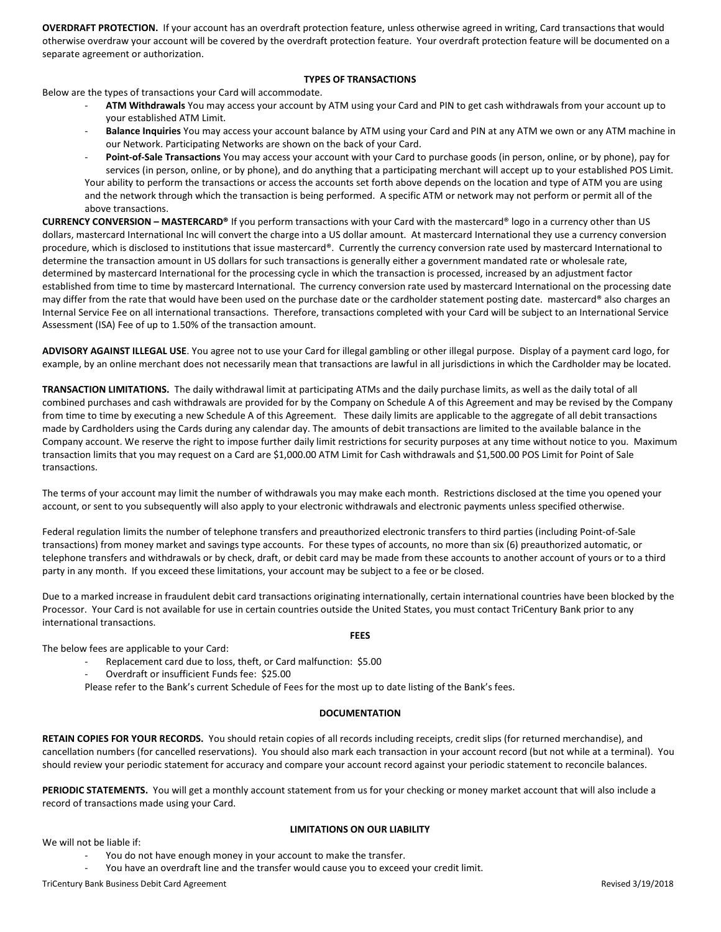OVERDRAFT PROTECTION. If your account has an overdraft protection feature, unless otherwise agreed in writing, Card transactions that would otherwise overdraw your account will be covered by the overdraft protection feature. Your overdraft protection feature will be documented on a separate agreement or authorization.

## TYPES OF TRANSACTIONS

Below are the types of transactions your Card will accommodate.

- ATM Withdrawals You may access your account by ATM using your Card and PIN to get cash withdrawals from your account up to your established ATM Limit.
- Balance Inquiries You may access your account balance by ATM using your Card and PIN at any ATM we own or any ATM machine in our Network. Participating Networks are shown on the back of your Card.
- Point-of-Sale Transactions You may access your account with your Card to purchase goods (in person, online, or by phone), pay for services (in person, online, or by phone), and do anything that a participating merchant will accept up to your established POS Limit. Your ability to perform the transactions or access the accounts set forth above depends on the location and type of ATM you are using and the network through which the transaction is being performed. A specific ATM or network may not perform or permit all of the above transactions.

CURRENCY CONVERSION – MASTERCARD® If you perform transactions with your Card with the mastercard® logo in a currency other than US dollars, mastercard International Inc will convert the charge into a US dollar amount. At mastercard International they use a currency conversion procedure, which is disclosed to institutions that issue mastercard®. Currently the currency conversion rate used by mastercard International to determine the transaction amount in US dollars for such transactions is generally either a government mandated rate or wholesale rate, determined by mastercard International for the processing cycle in which the transaction is processed, increased by an adjustment factor established from time to time by mastercard International. The currency conversion rate used by mastercard International on the processing date may differ from the rate that would have been used on the purchase date or the cardholder statement posting date. mastercard® also charges an Internal Service Fee on all international transactions. Therefore, transactions completed with your Card will be subject to an International Service Assessment (ISA) Fee of up to 1.50% of the transaction amount.

ADVISORY AGAINST ILLEGAL USE. You agree not to use your Card for illegal gambling or other illegal purpose. Display of a payment card logo, for example, by an online merchant does not necessarily mean that transactions are lawful in all jurisdictions in which the Cardholder may be located.

TRANSACTION LIMITATIONS. The daily withdrawal limit at participating ATMs and the daily purchase limits, as well as the daily total of all combined purchases and cash withdrawals are provided for by the Company on Schedule A of this Agreement and may be revised by the Company from time to time by executing a new Schedule A of this Agreement. These daily limits are applicable to the aggregate of all debit transactions made by Cardholders using the Cards during any calendar day. The amounts of debit transactions are limited to the available balance in the Company account. We reserve the right to impose further daily limit restrictions for security purposes at any time without notice to you. Maximum transaction limits that you may request on a Card are \$1,000.00 ATM Limit for Cash withdrawals and \$1,500.00 POS Limit for Point of Sale transactions.

The terms of your account may limit the number of withdrawals you may make each month. Restrictions disclosed at the time you opened your account, or sent to you subsequently will also apply to your electronic withdrawals and electronic payments unless specified otherwise.

Federal regulation limits the number of telephone transfers and preauthorized electronic transfers to third parties (including Point-of-Sale transactions) from money market and savings type accounts. For these types of accounts, no more than six (6) preauthorized automatic, or telephone transfers and withdrawals or by check, draft, or debit card may be made from these accounts to another account of yours or to a third party in any month. If you exceed these limitations, your account may be subject to a fee or be closed.

Due to a marked increase in fraudulent debit card transactions originating internationally, certain international countries have been blocked by the Processor. Your Card is not available for use in certain countries outside the United States, you must contact TriCentury Bank prior to any international transactions.

FEES

The below fees are applicable to your Card:

- Replacement card due to loss, theft, or Card malfunction: \$5.00
- Overdraft or insufficient Funds fee: \$25.00

Please refer to the Bank's current Schedule of Fees for the most up to date listing of the Bank's fees.

# **DOCUMENTATION**

RETAIN COPIES FOR YOUR RECORDS. You should retain copies of all records including receipts, credit slips (for returned merchandise), and cancellation numbers (for cancelled reservations). You should also mark each transaction in your account record (but not while at a terminal). You should review your periodic statement for accuracy and compare your account record against your periodic statement to reconcile balances.

PERIODIC STATEMENTS. You will get a monthly account statement from us for your checking or money market account that will also include a record of transactions made using your Card.

We will not be liable if:

### LIMITATIONS ON OUR LIABILITY

- You do not have enough money in your account to make the transfer.
- You have an overdraft line and the transfer would cause you to exceed your credit limit.

TriCentury Bank Business Debit Card Agreement **New Struck Agreement** Revised 3/19/2018